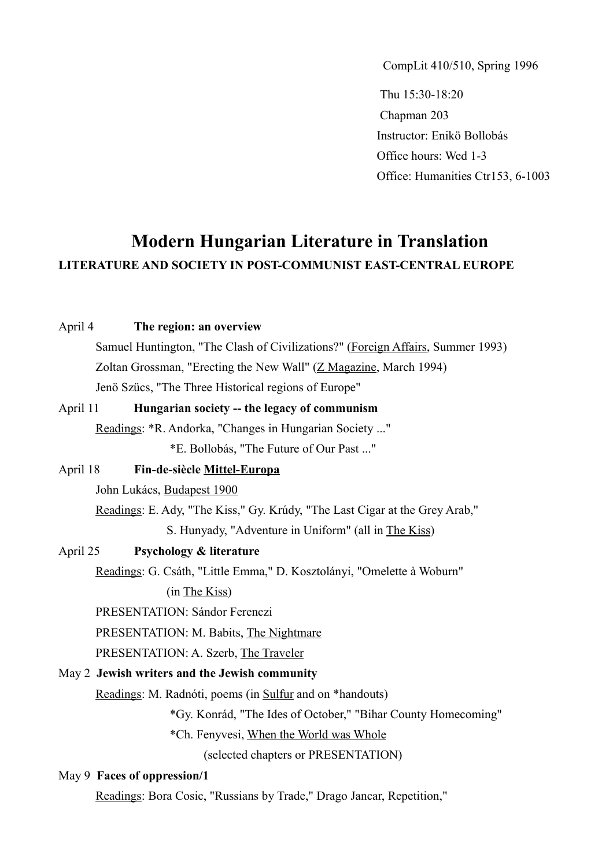CompLit 410/510, Spring 1996

Thu 15:30-18:20 Chapman 203 Instructor: Enikö Bollobás Office hours: Wed 1-3 Office: Humanities Ctr153, 6-1003

# **Modern Hungarian Literature in Translation LITERATURE AND SOCIETY IN POST-COMMUNIST EAST-CENTRAL EUROPE**

#### April 4 **The region: an overview**

 Samuel Huntington, "The Clash of Civilizations?" (Foreign Affairs, Summer 1993) Zoltan Grossman, "Erecting the New Wall" (Z Magazine, March 1994) Jenö Szücs, "The Three Historical regions of Europe"

# April 11 **Hungarian society -- the legacy of communism**

Readings: \*R. Andorka, "Changes in Hungarian Society ..."

\*E. Bollobás, "The Future of Our Past ..."

# April 18 **Fin-de-siècle Mittel-Europa**

John Lukács, Budapest 1900

Readings: E. Ady, "The Kiss," Gy. Krúdy, "The Last Cigar at the Grey Arab," S. Hunyady, "Adventure in Uniform" (all in The Kiss)

## April 25 **Psychology & literature**

Readings: G. Csáth, "Little Emma," D. Kosztolányi, "Omelette à Woburn"

(in The Kiss)

PRESENTATION: Sándor Ferenczi

PRESENTATION: M. Babits, The Nightmare

PRESENTATION: A. Szerb, The Traveler

### May 2 **Jewish writers and the Jewish community**

Readings: M. Radnóti, poems (in Sulfur and on \*handouts)

\*Gy. Konrád, "The Ides of October," "Bihar County Homecoming"

\*Ch. Fenyvesi, When the World was Whole

(selected chapters or PRESENTATION)

#### May 9 **Faces of oppression/1**

Readings: Bora Cosic, "Russians by Trade," Drago Jancar, Repetition,"